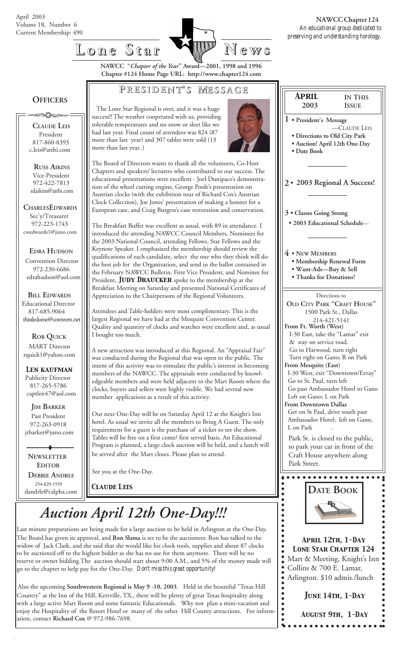

### **Lone Star Lone Star News**

**NAWCC "***Chapter of the Year***" Award—2001, 1998 and 1996 Chapter #124 Home Page URL: http://www.chapter124.com**

#### **P RESIDENT RESIDENT' S M ESSAGE**

#### **OFFICERS**

≥©∩⊙⇔

 **CLAUDE LEIS** President 817-860-8393 c.leis@attbi.com

 **RUSS AIKINS** Vice-President 972-422-7813 rdaikins@attbi.com

**CHARLESEDWARDS** Sec'y/Treasurer 972-223-1743 cwedwards1@juno.com

 **EDRA HUDSON** Convention Director 972-230-6686 edrahudson@aol.com

 **BILL EDWARDS** Educational Director 817-685-9064 thistledome@comwerx.net

 **ROB QUICK MART** Director rquick1@yahoo.com

 *Len kaufman* Publicity Director 817-265-5786 captlen47@aol.com

 **JIM BARKER** Past President 972-263-0918 jrbarker@juno.com

 **DEBBIE ANDRLE** 254-829-1559 dandrle@calpha.com  **NEWSLETTER EDITOR**

 The Lone Star Regional is over, and it was a huge success!! The weather cooperated with us, providing tolerable temperatures and no snow or sleet like we had last year. Final count of attendees was 824 (87 more than last year) and 307 tables were sold (13 more than last year..)



The Board of Directors wants to thank all the volunteers, Co-Host Chapters and speakers/ lecturers who contributed to our success. The educational presentations were excellent - Joel Dunipace's demonstration of the wheel cutting engine, George Poole's presentation on Austrian clocks (with the exhibition tour of Richard Cox's Austrian Clock Collection), Joe Jones' presentation of making a bonnet for a European case, and Craig Burgess's case restoration and conservation.

The Breakfast Buffet was excellent as usual, with 89 in attendance. I introduced the attending NAWCC Council Members, Nominees for the 2003 National Council, attending Fellows, Star Fellows and the Keynote Speaker. I emphasized the membership should review the qualifications of each candidate, select the one who they think will do the best job for the Organization, and send in the ballot contained in the February NAWCC Bulletin. First Vice President, and Nominee for President, **JUDY DRAUCKER** spoke to the membership at the Breakfast Meeting on Saturday and presented National Certificates of Appreciation to the Chairpersons of the Regional Volunteers.

Attendees and Table-holders were most complimentary. This is the largest Regional we have had at the Mesquite Convention Center. Quality and quantity of clocks and watches were excellent and, as usual I bought too much.

A new attraction was introduced at this Regional. An "Appraisal Fair" was conducted during the Regional that was open to the public. The intent of this activity was to stimulate the public's interest in becoming members of the NAWCC. The appraisals were conducted by knowledgeable members and were held adjacent to the Mart Room where the clocks, buyers and sellers were highly visible. We had several new member applications as a result of this activity.

Our next One-Day will be on Saturday April 12 at the Knight's Inn hotel. As usual we invite all the members to Bring A Guest. The only requirement for a guest is the purchase of a ticket to see the show. Tables will be free on a first come/ first served basis. An Educational Program is planned, a large clock auction will be held, and a lunch will be served after the Mart closes. Please plan to attend.

See you at the One-Day.

# *Auction April 12th One-Day!!!*

Last minute preparations are being made for a large auction to be held in Arlington at the One-Day. The Board has given its approval, and **Ron Slama** is set to be the auctioneer. Ron has talked to the widow of Jack Clark, and she said that she would like his clock tools, supplies and about 87 clocks to be auctioned off to the highest bidder as she has no use for them anymore. There will be no reserve or owner bidding.The auction should start about 9:00 A.M., and 5% of the money made will go to the chapter to help pay for the One-Day. *Don't miss this great opportunity!*

 Also the upcoming **Southwestern Regional is May 9 -10, 2003**. Held in the beautiful "Texas Hill Country" at the Inn of the Hill, Kerrville, TX., there will be plenty of great Texas hospitality along with a large active Mart Room and some fantastic Educationals. Why not plan a mini-vacation and enjoy the Hospitality of the Resort Hotel or many of the other Hill County attractions. For inform ation, contact **Richard Cox** @ 972-986-7698.



*June 14th, 1-Day*

*August 9th, 1-Day*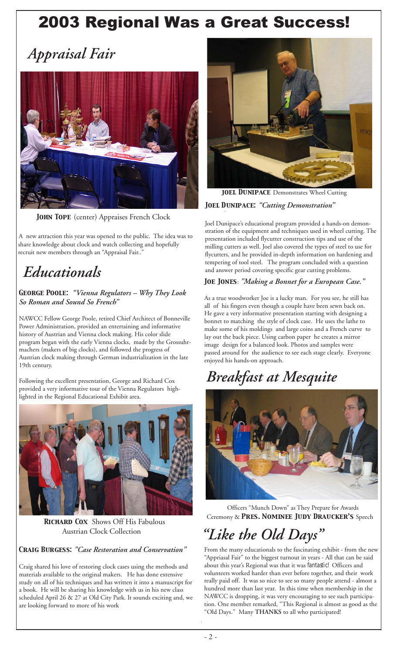## 2003 Regional Was a Great Success!

*Appraisal Fair*



*John Tope* (center) Appraises French Clock

 A new attraction this year was opened to the public. The idea was to share knowledge about clock and watch collecting and hopefully recruit new members through an "Appraisal Fair..

### *Educationals*

*George Poole: "Vienna Regulators – Why They Look So Roman and Sound So French"*

NAWCC Fellow George Poole, retired Chief Architect of Bonneville Power Administration, provided an entertaining and informative history of Austrian and Vienna clock making. His color slide program began with the early Vienna clocks, made by the Grossuhrmachers (makers of big clocks), and followed the progress of Austrian clock making through German industrialization in the late 19th century.

Following the excellent presentation, George and Richard Cox provided a very informative tour of the Vienna Regulators highlighted in the Regional Educational Exhibit area.



 *Richard Cox* Shows Off His Fabulous Austrian Clock Collection

*Craig Burgess: "Case Restoration and Conservation"*

Craig shared his love of restoring clock cases using the methods and materials available to the original makers. He has done extensive study on all of his techniques and has written it into a manuscript for a book. He will be sharing his knowledge with us in his new class scheduled April 26 & 27 at Old City Park. It sounds exciting and, we are looking forward to more of his work



*Joel Dunipace: "Cutting Demonstration"* **JOEL DUNIPACE** Demonstrates Wheel Cutting

Joel Dunipace's educational program provided a hands-on demonstration of the equipment and techniques used in wheel cutting. The presentation included flycutter construction tips and use of the milling cutters as well. Joel also covered the types of steel to use for flycutters, and he provided in-depth information on hardening and tempering of tool steel. The program concluded with a question and answer period covering specific gear cutting problems.

#### *Joe Jones*: *"Making a Bonnet for a European Case."*

As a true woodworker Joe is a lucky man. For you see, he still has all of his fingers even though a couple have been sewn back on. He gave a very informative presentation starting with designing a bonnet to matching the style of clock case. He uses the lathe to make some of his moldings and large coins and a French curve to lay out the back piece. Using carbon paper he creates a mirror image design for a balanced look. Photos and samples were passed around for the audience to see each stage clearly. Everyone enjoyed his hands-on approach.

### *Breakfast at Mesquite*



 Officers "Munch Down" as They Prepare for Awards Ceremony & *Pres. Nominee Judy Draucker's* Speech

### *"Like the Old Days"*

From the many educationals to the fascinating exhibit - from the new "Appriasal Fair" to the biggest turnout in years - All that can be said about this year's Regional was that it was *fantastic!* Officers and volunteers worked harder than ever before together, and their work really paid off. It was so nice to see so many people attend - almost a hundred more than last year. In this time when membership in the NAWCC is dropping, it was very encouraging to see such participation. One member remarked, "This Regional is almost as good as the "Old Days." Many **THANKS** to all who participated!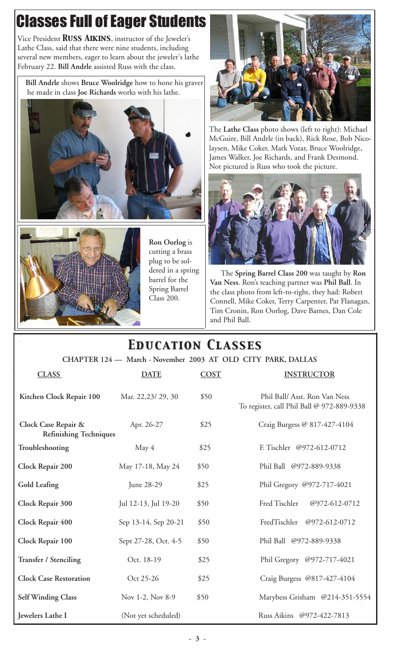## Classes Full of Eager Students

Vice President *Russ Aikins*, instructor of the Jeweler's Lathe Class, said that there were nine students, including several new members, eager to learn about the jeweler's lathe February 22. **Bill Andrle** assisted Russ with the class.

 **Bill Andrle** shows **Bruce Woolridge** how to hone his graver he made in class **Joe Richards** works with his lathe.





**Ron Oorlog** is cutting a brass plug to be soldered in a spring barrel for the Spring Barrel Class 200.



The **Lathe Class** photo shows (left to right): Michael McGuire, Bill Andrle (in back), Rick Rose, Bob Nicolaysen, Mike Coker, Mark Vozar, Bruce Woolridge, James Walker, Joe Richards, and Frank Desmond. Not pictured is Russ who took the picture.



 The **Spring Barrel Class 200** was taught by **Ron Van Ness**. Ron's teaching partner was **Phil Ball**. In the class photo from left-to-right, they had: Robert Connell, Mike Coker, Terry Carpenter, Pat Flanagan, Tim Cronin, Ron Oorlog, Dave Barnes, Dan Cole and Phil Ball.

#### **CHAPTER 124 — March - November 2003 AT OLD CITY PARK, DALLAS CLASS DATE COST INSTRUCTOR** *Education Classes Education Classes* **Kitchen Clock Repair 100** Mar. 22,23/ 29, 30 \$50 Phil Ball/ Asst. Ron Van Ness To register, call Phil Ball @ 972-889-9338 **Clock Case Repair &** Apr. 26-27 \$25 Craig Burgess @ 817-427-4104 **Refinishing Techniques Troubleshooting** May 4 \$25 F. Tischler @972-612-0712 **Clock Repair 200** May 17-18, May 24 \$50 Phil Ball @972-889-9338 Gold Leafing **IVE 188-29** June 28-29 \$25 Phil Gregory @972-717-4021 **Clock Repair 300** Jul 12-13, Jul 19-20 \$50 Fred Tischler @972-612-0712 **Clock Repair 400** Sep 13-14, Sep 20-21 \$50 FredTischler @972-612-0712 **Clock Repair 100** Sept 27-28, Oct. 4-5 \$50 Phil Ball @972-889-9338 **Transfer / Stenciling** Oct. 18-19 \$25 Phil Gregory @972-717-4021 **Clock Case Restoration Oct 25-26** \$25 Craig Burgess @817-427-4104 **Self Winding Class** Nov 1-2, Nov 8-9 \$50 Marybess Grisham @214-351-5554

**Jewelers Lathe I** (Not yet scheduled) Russ Aikins @972-422-7813